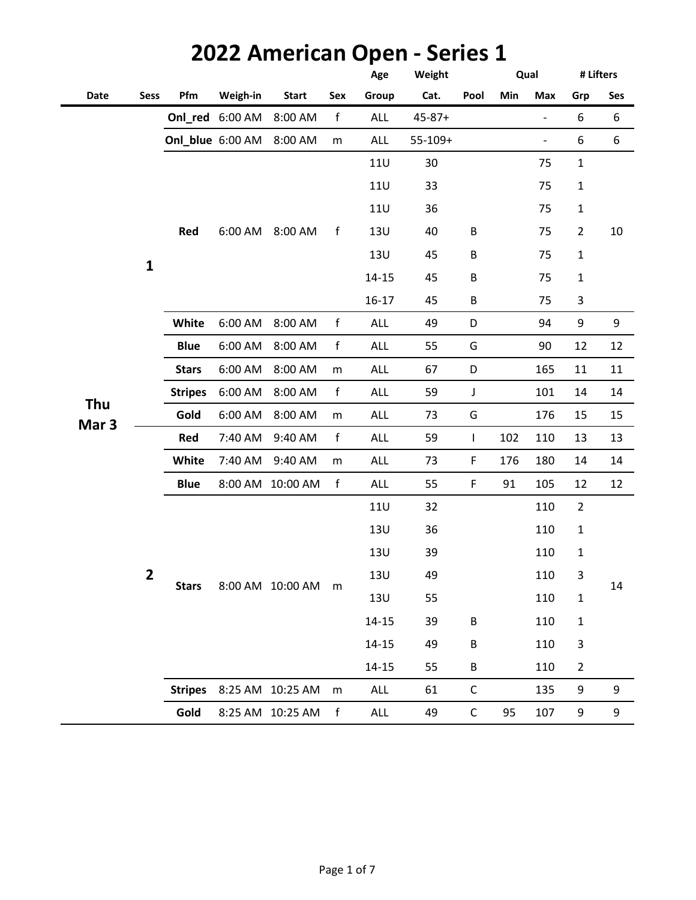|                         |              |                |                  |                  |             | Age        | Weight       |             | Qual |                |                | # Lifters |
|-------------------------|--------------|----------------|------------------|------------------|-------------|------------|--------------|-------------|------|----------------|----------------|-----------|
| Date                    | <b>Sess</b>  | Pfm            | Weigh-in         | <b>Start</b>     | Sex         | Group      | Cat.         | Pool        | Min  | Max            | Grp            | Ses       |
|                         |              |                | Onl_red 6:00 AM  | 8:00 AM          | f           | ALL        | $45 - 87 +$  |             |      | $\blacksquare$ | 6              | 6         |
|                         |              |                | Onl_blue 6:00 AM | 8:00 AM          | m           | <b>ALL</b> | $55 - 109 +$ |             |      | $\blacksquare$ | 6              | 6         |
|                         |              |                |                  |                  |             | <b>11U</b> | 30           |             |      | 75             | $\mathbf 1$    |           |
|                         |              |                |                  |                  |             | <b>11U</b> | 33           |             |      | 75             | $\mathbf 1$    |           |
|                         |              |                |                  |                  |             | <b>11U</b> | 36           |             |      | 75             | 1              |           |
|                         |              | Red            | 6:00 AM          | 8:00 AM          | f           | 13U        | 40           | B           |      | 75             | $\overline{2}$ | $10\,$    |
|                         |              |                |                  |                  |             | <b>13U</b> | 45           | B           |      | 75             | $\mathbf 1$    |           |
|                         | $\mathbf{1}$ |                |                  |                  |             | $14 - 15$  | 45           | $\sf B$     |      | 75             | $\mathbf{1}$   |           |
|                         |              |                |                  |                  |             | 16-17      | 45           | $\sf B$     |      | 75             | 3              |           |
|                         |              | <b>White</b>   | 6:00 AM          | 8:00 AM          | $\mathsf f$ | ALL        | 49           | D           |      | 94             | 9              | 9         |
|                         |              | <b>Blue</b>    | 6:00 AM          | 8:00 AM          | f           | ALL        | 55           | G           |      | 90             | 12             | 12        |
|                         |              | <b>Stars</b>   | 6:00 AM          | 8:00 AM          | ${\sf m}$   | <b>ALL</b> | 67           | D           |      | 165            | 11             | 11        |
|                         |              | <b>Stripes</b> | 6:00 AM          | 8:00 AM          | $\mathsf f$ | <b>ALL</b> | 59           | $\mathsf J$ |      | 101            | 14             | 14        |
| Thu<br>Mar <sub>3</sub> |              | Gold           | 6:00 AM          | 8:00 AM          | m           | <b>ALL</b> | 73           | G           |      | 176            | 15             | 15        |
|                         |              | Red            | 7:40 AM          | 9:40 AM          | $\mathsf f$ | <b>ALL</b> | 59           | L           | 102  | 110            | 13             | 13        |
|                         |              | White          | 7:40 AM          | 9:40 AM          | m           | <b>ALL</b> | 73           | $\mathsf F$ | 176  | 180            | 14             | 14        |
|                         |              | <b>Blue</b>    |                  | 8:00 AM 10:00 AM | f           | ALL        | 55           | $\mathsf F$ | 91   | 105            | 12             | 12        |
|                         |              |                |                  |                  |             | <b>11U</b> | 32           |             |      | 110            | $\overline{2}$ |           |
|                         |              |                |                  |                  |             | <b>13U</b> | 36           |             |      | 110            | $\mathbf{1}$   |           |
|                         |              |                |                  |                  |             | <b>13U</b> | 39           |             |      | 110            | $\mathbf{1}$   |           |
|                         | 2            | <b>Stars</b>   |                  | 8:00 AM 10:00 AM |             | 13U        | 49           |             |      | 110            | 3              |           |
|                         |              |                |                  |                  | m           | <b>13U</b> | 55           |             |      | 110            | 1              | 14        |
|                         |              |                |                  |                  |             | $14 - 15$  | 39           | B           |      | 110            | $\mathbf 1$    |           |
|                         |              |                |                  |                  |             | $14 - 15$  | 49           | B           |      | 110            | 3              |           |
|                         |              |                |                  |                  |             | $14 - 15$  | 55           | $\sf B$     |      | 110            | $\overline{2}$ |           |
|                         |              | <b>Stripes</b> |                  | 8:25 AM 10:25 AM | m           | ALL        | 61           | $\mathsf C$ |      | 135            | 9              | 9         |
|                         |              | Gold           |                  | 8:25 AM 10:25 AM | f           | ALL        | 49           | $\mathsf C$ | 95   | 107            | 9              | 9         |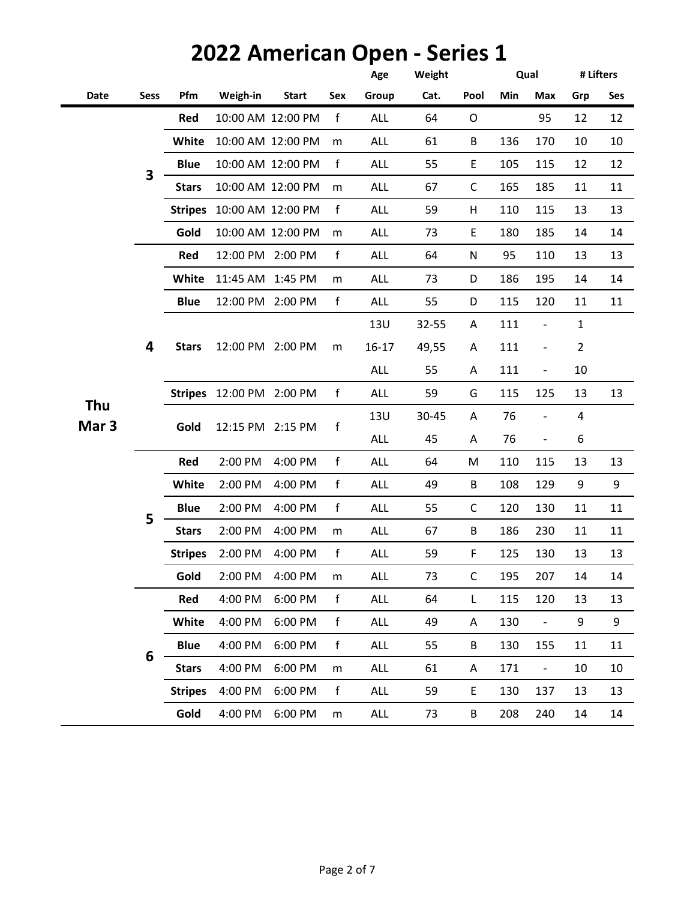|                         |                         |                |                           |                   |              | Age        | Weight |             |     | Qual                         | # Lifters               |     |
|-------------------------|-------------------------|----------------|---------------------------|-------------------|--------------|------------|--------|-------------|-----|------------------------------|-------------------------|-----|
| Date                    | <b>Sess</b>             | Pfm            | Weigh-in                  | <b>Start</b>      | Sex          | Group      | Cat.   | Pool        | Min | Max                          | Grp                     | Ses |
|                         |                         | Red            |                           | 10:00 AM 12:00 PM | f            | <b>ALL</b> | 64     | $\circ$     |     | 95                           | 12                      | 12  |
|                         |                         | White          | 10:00 AM 12:00 PM         |                   | m            | <b>ALL</b> | 61     | B           | 136 | 170                          | 10                      | 10  |
|                         | $\overline{\mathbf{3}}$ | <b>Blue</b>    |                           | 10:00 AM 12:00 PM | $\mathsf{f}$ | <b>ALL</b> | 55     | $\mathsf E$ | 105 | 115                          | 12                      | 12  |
|                         |                         | <b>Stars</b>   |                           | 10:00 AM 12:00 PM | m            | <b>ALL</b> | 67     | C           | 165 | 185                          | 11                      | 11  |
|                         |                         |                | Stripes 10:00 AM 12:00 PM |                   | $\mathsf f$  | <b>ALL</b> | 59     | H           | 110 | 115                          | 13                      | 13  |
|                         |                         | Gold           |                           | 10:00 AM 12:00 PM | m            | <b>ALL</b> | 73     | E           | 180 | 185                          | 14                      | 14  |
|                         |                         | Red            | 12:00 PM 2:00 PM          |                   | f            | <b>ALL</b> | 64     | ${\sf N}$   | 95  | 110                          | 13                      | 13  |
|                         |                         | White          | 11:45 AM 1:45 PM          |                   | m            | <b>ALL</b> | 73     | D           | 186 | 195                          | 14                      | 14  |
|                         |                         | <b>Blue</b>    | 12:00 PM 2:00 PM          |                   | f            | <b>ALL</b> | 55     | D           | 115 | 120                          | 11                      | 11  |
|                         | 4                       | <b>Stars</b>   |                           |                   |              | <b>13U</b> | 32-55  | Α           | 111 | $\blacksquare$               | $\mathbf 1$             |     |
|                         |                         |                | 12:00 PM 2:00 PM          |                   | m            | $16 - 17$  | 49,55  | Α           | 111 | $\overline{\phantom{a}}$     | $\overline{2}$          |     |
|                         |                         |                |                           |                   |              | <b>ALL</b> | 55     | Α           | 111 | $\overline{\phantom{a}}$     | 10                      |     |
|                         |                         |                | Stripes 12:00 PM 2:00 PM  |                   | f            | <b>ALL</b> | 59     | G           | 115 | 125                          | 13                      | 13  |
| Thu<br>Mar <sub>3</sub> |                         | Gold           | 12:15 PM 2:15 PM          |                   |              | <b>13U</b> | 30-45  | A           | 76  | $\qquad \qquad \blacksquare$ | $\overline{\mathbf{4}}$ |     |
|                         |                         |                |                           |                   | f            | <b>ALL</b> | 45     | Α           | 76  | $\qquad \qquad -$            | 6                       |     |
|                         |                         | Red            | 2:00 PM                   | 4:00 PM           | f            | <b>ALL</b> | 64     | M           | 110 | 115                          | 13                      | 13  |
|                         |                         | White          | 2:00 PM                   | 4:00 PM           | f            | <b>ALL</b> | 49     | B           | 108 | 129                          | 9                       | 9   |
|                         | 5                       | <b>Blue</b>    | 2:00 PM                   | 4:00 PM           | f            | <b>ALL</b> | 55     | C           | 120 | 130                          | 11                      | 11  |
|                         |                         | <b>Stars</b>   | 2:00 PM                   | 4:00 PM           | m            | <b>ALL</b> | 67     | B           | 186 | 230                          | 11                      | 11  |
|                         |                         | <b>Stripes</b> | 2:00 PM                   | 4:00 PM           | $\mathsf f$  | <b>ALL</b> | 59     | F           | 125 | 130                          | 13                      | 13  |
|                         |                         | Gold           | 2:00 PM                   | 4:00 PM           | m            | ALL        | 73     | C           | 195 | 207                          | 14                      | 14  |
|                         |                         | Red            | 4:00 PM                   | 6:00 PM           | $\mathsf f$  | ALL        | 64     | L           | 115 | 120                          | 13                      | 13  |
|                         |                         | White          | 4:00 PM                   | 6:00 PM           | f            | ALL        | 49     | Α           | 130 | $\blacksquare$               | 9                       | 9   |
|                         | 6                       | <b>Blue</b>    | 4:00 PM                   | 6:00 PM           | f            | ALL        | 55     | B           | 130 | 155                          | 11                      | 11  |
|                         |                         | <b>Stars</b>   | 4:00 PM                   | 6:00 PM           | m            | ALL        | 61     | Α           | 171 | $\blacksquare$               | 10                      | 10  |
|                         |                         | <b>Stripes</b> | 4:00 PM                   | 6:00 PM           | f            | ALL        | 59     | E           | 130 | 137                          | 13                      | 13  |
|                         |                         | Gold           | 4:00 PM                   | 6:00 PM           | m            | <b>ALL</b> | 73     | B           | 208 | 240                          | 14                      | 14  |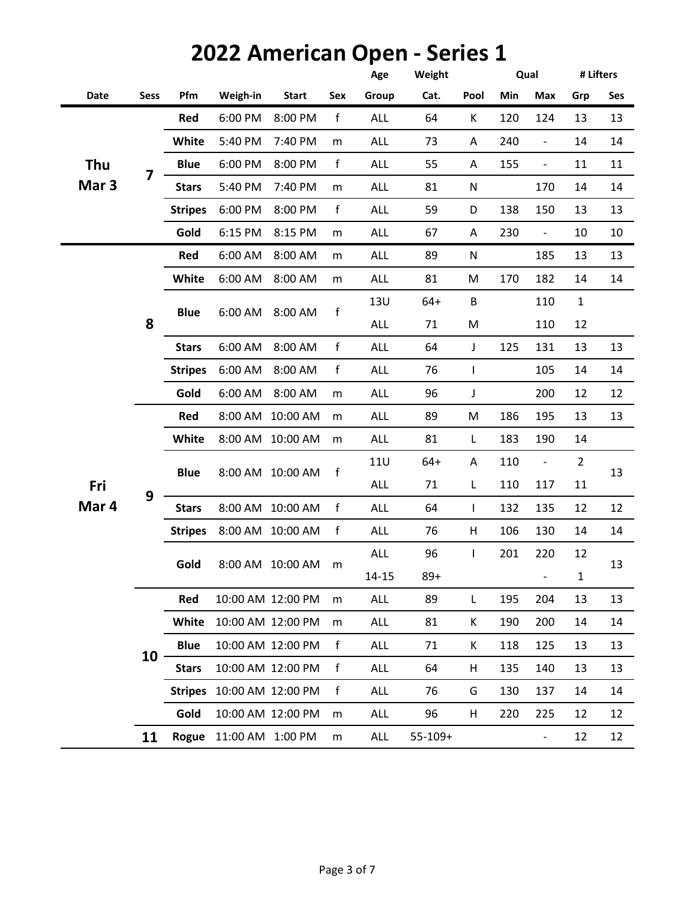|                  |             |                |                           | <b>2022 American Open - Series 1</b> |                       |            |              |           |     |                          |                |           |
|------------------|-------------|----------------|---------------------------|--------------------------------------|-----------------------|------------|--------------|-----------|-----|--------------------------|----------------|-----------|
|                  |             |                |                           |                                      |                       | Age        | Weight       |           |     | Qual                     |                | # Lifters |
| Date             | <b>Sess</b> | Pfm            | Weigh-in                  | <b>Start</b>                         | Sex                   | Group      | Cat.         | Pool      | Min | Max                      | Grp            | Ses       |
|                  |             | Red            | 6:00 PM                   | 8:00 PM                              | f                     | <b>ALL</b> | 64           | K         | 120 | 124                      | 13             | 13        |
|                  |             | White          | 5:40 PM                   | 7:40 PM                              | m                     | <b>ALL</b> | 73           | Α         | 240 | $\frac{1}{2}$            | 14             | 14        |
| Thu              | 7           | <b>Blue</b>    | 6:00 PM                   | 8:00 PM                              | $\mathsf{f}$          | <b>ALL</b> | 55           | Α         | 155 | $\overline{\phantom{a}}$ | 11             | 11        |
| Mar <sub>3</sub> |             | <b>Stars</b>   | 5:40 PM                   | 7:40 PM                              | m                     | <b>ALL</b> | 81           | N         |     | 170                      | 14             | 14        |
|                  |             | <b>Stripes</b> | 6:00 PM                   | 8:00 PM                              | f                     | <b>ALL</b> | 59           | D         | 138 | 150                      | 13             | 13        |
|                  |             | Gold           | 6:15 PM                   | 8:15 PM                              | m                     | <b>ALL</b> | 67           | Α         | 230 | $\overline{\phantom{a}}$ | 10             | 10        |
|                  |             | Red            | 6:00 AM                   | 8:00 AM                              | m                     | <b>ALL</b> | 89           | ${\sf N}$ |     | 185                      | 13             | 13        |
|                  |             | White          | 6:00 AM                   | 8:00 AM                              | m                     | <b>ALL</b> | 81           | M         | 170 | 182                      | 14             | 14        |
|                  |             |                |                           |                                      |                       | 13U        | $64+$        | B         |     | 110                      | $\mathbf 1$    |           |
|                  | 8           | <b>Blue</b>    | 6:00 AM                   | 8:00 AM                              | f<br><b>ALL</b><br>71 | M          |              | 110       | 12  |                          |                |           |
|                  |             | <b>Stars</b>   | 6:00 AM                   | 8:00 AM                              | f                     | <b>ALL</b> | 64           | J         | 125 | 131                      | 13             | 13        |
|                  |             | <b>Stripes</b> | 6:00 AM                   | 8:00 AM                              | $\mathsf f$           | <b>ALL</b> | 76           | T         |     | 105                      | 14             | 14        |
|                  |             | Gold           | 6:00 AM                   | 8:00 AM                              | m                     | <b>ALL</b> | 96           | J         |     | 200                      | 12             | 12        |
|                  |             | Red            | 8:00 AM                   | 10:00 AM                             | m                     | <b>ALL</b> | 89           | M         | 186 | 195                      | 13             | 13        |
|                  |             | White          |                           | 8:00 AM 10:00 AM                     | m                     | <b>ALL</b> | 81           | L         | 183 | 190                      | 14             |           |
|                  |             | <b>Blue</b>    |                           |                                      |                       | <b>11U</b> | $64+$        | ${\sf A}$ | 110 | $\overline{\phantom{m}}$ | $\overline{2}$ |           |
| Fri              |             |                | 8:00 AM                   | 10:00 AM                             | f                     | <b>ALL</b> | 71           | L         | 110 | 117                      | 11             | 13        |
| Mar 4            | 9           | <b>Stars</b>   |                           | 8:00 AM 10:00 AM                     | f                     | <b>ALL</b> | 64           | L         | 132 | 135                      | 12             | 12        |
|                  |             | <b>Stripes</b> | 8:00 AM                   | 10:00 AM                             | f                     | <b>ALL</b> | 76           | H         | 106 | 130                      | 14             | 14        |
|                  |             |                |                           |                                      |                       | ALL        | 96           | L         | 201 | 220                      | 12             |           |
|                  |             | Gold           |                           | 8:00 AM 10:00 AM                     | m                     | $14 - 15$  | $89+$        |           |     | $\overline{\phantom{0}}$ | $\mathbf{1}$   | 13        |
|                  |             | Red            |                           | 10:00 AM 12:00 PM                    | m                     | <b>ALL</b> | 89           | L         | 195 | 204                      | 13             | 13        |
|                  |             | White          |                           | 10:00 AM 12:00 PM                    | m                     | <b>ALL</b> | 81           | Κ         | 190 | 200                      | 14             | 14        |
|                  |             | <b>Blue</b>    |                           | 10:00 AM 12:00 PM                    | $\mathsf f$           | <b>ALL</b> | 71           | К         | 118 | 125                      | 13             | 13        |
|                  | 10          | <b>Stars</b>   |                           | 10:00 AM 12:00 PM                    | f                     | <b>ALL</b> | 64           | н         | 135 | 140                      | 13             | 13        |
|                  |             |                | Stripes 10:00 AM 12:00 PM |                                      | f                     | <b>ALL</b> | 76           | G         | 130 | 137                      | 14             | 14        |
|                  |             | Gold           |                           | 10:00 AM 12:00 PM                    | m                     | <b>ALL</b> | 96           | H         | 220 | 225                      | 12             | 12        |
|                  | 11          |                | Rogue 11:00 AM 1:00 PM    |                                      | m                     | ALL        | $55 - 109 +$ |           |     | $\overline{\phantom{0}}$ | 12             | 12        |

### Page 3 of 7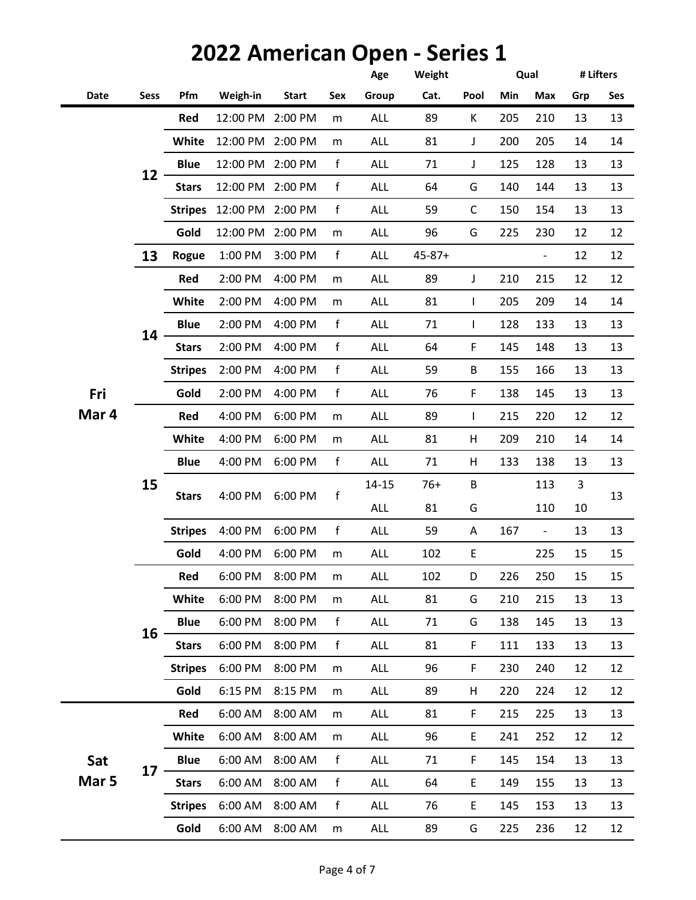#### **Age Weight Date Sess Pfm Weigh-in Start Sex Group Cat. Pool Min Max Grp Ses Thu 2 Mar 3 Qual # Lifters 1 Red** 12:00 PM 2:00 PM m ALL 89 K 205 210 13 13 **White** 12:00 PM 2:00 PM m ALL 81 J 200 205 14 14 **Blue** 12:00 PM 2:00 PM f ALL 71 J 125 128 13 13 **Stars** 12:00 PM 2:00 PM f ALL 64 G 140 144 13 13 **Stripes** 12:00 PM 2:00 PM f ALL 59 C 150 154 13 13 **Gold** 12:00 PM 2:00 PM m ALL 96 G 225 230 12 12 **13 Rogue** 1:00 PM 3:00 PM f ALL 45-87+ - 12 12 **Red** 2:00 PM 4:00 PM m ALL 89 J 210 215 12 12 **White** 2:00 PM 4:00 PM m ALL 81 I 205 209 14 14 **Blue** 2:00 PM 4:00 PM f ALL 71 I 128 133 13 13 **Stars** 2:00 PM 4:00 PM f ALL 64 F 145 148 13 13 **Stripes** 2:00 PM 4:00 PM f ALL 59 B 155 166 13 13 **Gold** 2:00 PM 4:00 PM f ALL 76 F 138 145 13 13 **Red** 4:00 PM 6:00 PM m ALL 89 I 215 220 12 12 **White** 4:00 PM 6:00 PM m ALL 81 H 209 210 14 14 **Blue** 4:00 PM 6:00 PM f ALL 71 H 133 138 13 13 14-15 76+ B 113 3 ALL 81 G 110 10 **Stripes** 4:00 PM 6:00 PM f ALL 59 A 167 - 13 13 **Gold** 4:00 PM 6:00 PM m ALL 102 E 225 15 15 **Red** 6:00 PM 8:00 PM m ALL 102 D 226 250 15 15 **White** 6:00 PM 8:00 PM m ALL 81 G 210 215 13 13 **Blue** 6:00 PM 8:00 PM f ALL 71 G 138 145 13 13 **Stars** 6:00 PM 8:00 PM f ALL 81 F 111 133 13 13 **Stripes** 6:00 PM 8:00 PM m ALL 96 F 230 240 12 12 **Gold** 6:15 PM 8:15 PM m ALL 89 H 220 224 12 12 **Red** 6:00 AM 8:00 AM m ALL 81 F 215 225 13 13 **White** 6:00 AM 8:00 AM m ALL 96 E 241 252 12 12 **Blue** 6:00 AM 8:00 AM f ALL 71 F 145 154 13 13 **Stars** 6:00 AM 8:00 AM f ALL 64 E 149 155 13 13 **Stripes** 6:00 AM 8:00 AM f ALL 76 E 145 153 13 13 **Gold** 6:00 AM 8:00 AM m ALL 89 G 225 236 12 12 **17 Sat Mar 5** 6:00 PM f  $\sim$  13 **15 16 Fri Mar 4 12 14 Stars** 4:00 PM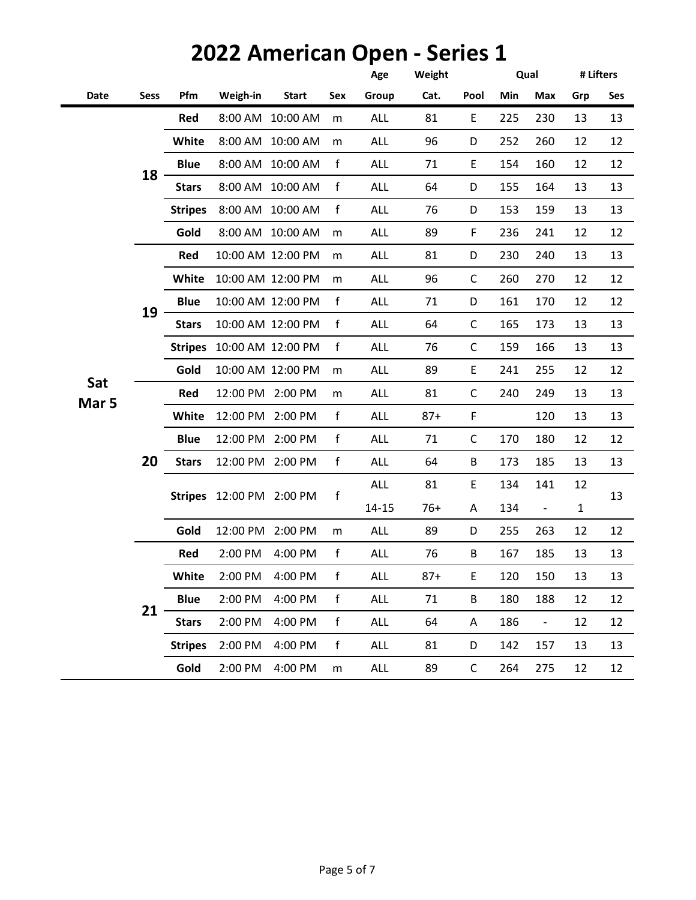|             |                |                |              |                                                                                                                                                                                                                                                                                                                                   | Age        | Weight |              |     |                          | # Lifters    |     |
|-------------|----------------|----------------|--------------|-----------------------------------------------------------------------------------------------------------------------------------------------------------------------------------------------------------------------------------------------------------------------------------------------------------------------------------|------------|--------|--------------|-----|--------------------------|--------------|-----|
| <b>Sess</b> | Pfm            | Weigh-in       | <b>Start</b> | Sex                                                                                                                                                                                                                                                                                                                               | Group      | Cat.   | Pool         | Min | Max                      | Grp          | Ses |
|             | Red            | 8:00 AM        | 10:00 AM     | m                                                                                                                                                                                                                                                                                                                                 | <b>ALL</b> | 81     | E            | 225 | 230                      | 13           | 13  |
|             | White          | 8:00 AM        | 10:00 AM     | m                                                                                                                                                                                                                                                                                                                                 | <b>ALL</b> | 96     | D            | 252 | 260                      | 12           | 12  |
|             | <b>Blue</b>    |                |              | $\mathsf f$                                                                                                                                                                                                                                                                                                                       | <b>ALL</b> | 71     | E            | 154 | 160                      | 12           | 12  |
|             | <b>Stars</b>   |                |              | $\mathsf f$                                                                                                                                                                                                                                                                                                                       | <b>ALL</b> | 64     | D            | 155 | 164                      | 13           | 13  |
|             | <b>Stripes</b> | 8:00 AM        | 10:00 AM     | $\mathsf f$                                                                                                                                                                                                                                                                                                                       | <b>ALL</b> | 76     | D            | 153 | 159                      | 13           | 13  |
|             | Gold           |                |              | m                                                                                                                                                                                                                                                                                                                                 | <b>ALL</b> | 89     | F            | 236 | 241                      | 12           | 12  |
|             | Red            |                |              | m                                                                                                                                                                                                                                                                                                                                 | <b>ALL</b> | 81     | D            | 230 | 240                      | 13           | 13  |
|             | White          |                |              | m                                                                                                                                                                                                                                                                                                                                 | <b>ALL</b> | 96     | C            | 260 | 270                      | 12           | 12  |
|             | <b>Blue</b>    |                |              | $\mathsf{f}$                                                                                                                                                                                                                                                                                                                      | <b>ALL</b> | 71     | D            | 161 | 170                      | 12           | 12  |
|             | <b>Stars</b>   |                |              | $\mathsf f$                                                                                                                                                                                                                                                                                                                       | <b>ALL</b> | 64     | C            | 165 | 173                      | 13           | 13  |
|             | <b>Stripes</b> |                |              | $\mathsf{f}$                                                                                                                                                                                                                                                                                                                      | <b>ALL</b> | 76     | C            | 159 | 166                      | 13           | 13  |
|             | Gold           |                |              | m                                                                                                                                                                                                                                                                                                                                 | <b>ALL</b> | 89     | E            | 241 | 255                      | 12           | 12  |
|             | Red            |                |              | m                                                                                                                                                                                                                                                                                                                                 | <b>ALL</b> | 81     | C            | 240 | 249                      | 13           | 13  |
|             | White          |                |              | $\mathsf{f}$                                                                                                                                                                                                                                                                                                                      | <b>ALL</b> | $87+$  | F            |     | 120                      | 13           | 13  |
|             | <b>Blue</b>    |                |              | $\mathsf f$                                                                                                                                                                                                                                                                                                                       | <b>ALL</b> | 71     | C            | 170 | 180                      | 12           | 12  |
| 20          | <b>Stars</b>   |                |              | f                                                                                                                                                                                                                                                                                                                                 | <b>ALL</b> | 64     | B            | 173 | 185                      | 13           | 13  |
|             |                |                |              |                                                                                                                                                                                                                                                                                                                                   | <b>ALL</b> | 81     | E            | 134 | 141                      | 12           | 13  |
|             |                |                |              |                                                                                                                                                                                                                                                                                                                                   | $14 - 15$  | $76+$  | Α            | 134 | $\overline{\phantom{a}}$ | $\mathbf{1}$ |     |
|             | Gold           |                |              | m                                                                                                                                                                                                                                                                                                                                 | <b>ALL</b> | 89     | D            | 255 | 263                      | 12           | 12  |
|             | Red            | 2:00 PM        | 4:00 PM      | $\mathsf{f}$                                                                                                                                                                                                                                                                                                                      | <b>ALL</b> | 76     | B            | 167 | 185                      | 13           | 13  |
|             | White          | 2:00 PM        | 4:00 PM      | f                                                                                                                                                                                                                                                                                                                                 | <b>ALL</b> | $87+$  | E            | 120 | 150                      | 13           | 13  |
|             | <b>Blue</b>    | 2:00 PM        | 4:00 PM      | f                                                                                                                                                                                                                                                                                                                                 | ALL        | 71     | B            | 180 | 188                      | 12           | 12  |
|             | <b>Stars</b>   | 2:00 PM        | 4:00 PM      | f                                                                                                                                                                                                                                                                                                                                 | <b>ALL</b> | 64     | A            | 186 | $\overline{\phantom{a}}$ | 12           | 12  |
|             | <b>Stripes</b> | 2:00 PM        | 4:00 PM      | f                                                                                                                                                                                                                                                                                                                                 | ALL        | 81     | D            | 142 | 157                      | 13           | 13  |
|             | Gold           |                |              | m                                                                                                                                                                                                                                                                                                                                 | ALL        | 89     | $\mathsf{C}$ | 264 | 275                      | 12           | 12  |
|             | 18<br>19<br>21 | <b>Stripes</b> |              | 8:00 AM 10:00 AM<br>8:00 AM 10:00 AM<br>8:00 AM 10:00 AM<br>10:00 AM 12:00 PM<br>10:00 AM 12:00 PM<br>10:00 AM 12:00 PM<br>10:00 AM 12:00 PM<br>10:00 AM 12:00 PM<br>10:00 AM 12:00 PM<br>12:00 PM 2:00 PM<br>12:00 PM 2:00 PM<br>12:00 PM 2:00 PM<br>12:00 PM 2:00 PM<br>12:00 PM 2:00 PM<br>12:00 PM 2:00 PM<br>2:00 PM 4:00 PM | f          |        |              |     |                          | Qual         |     |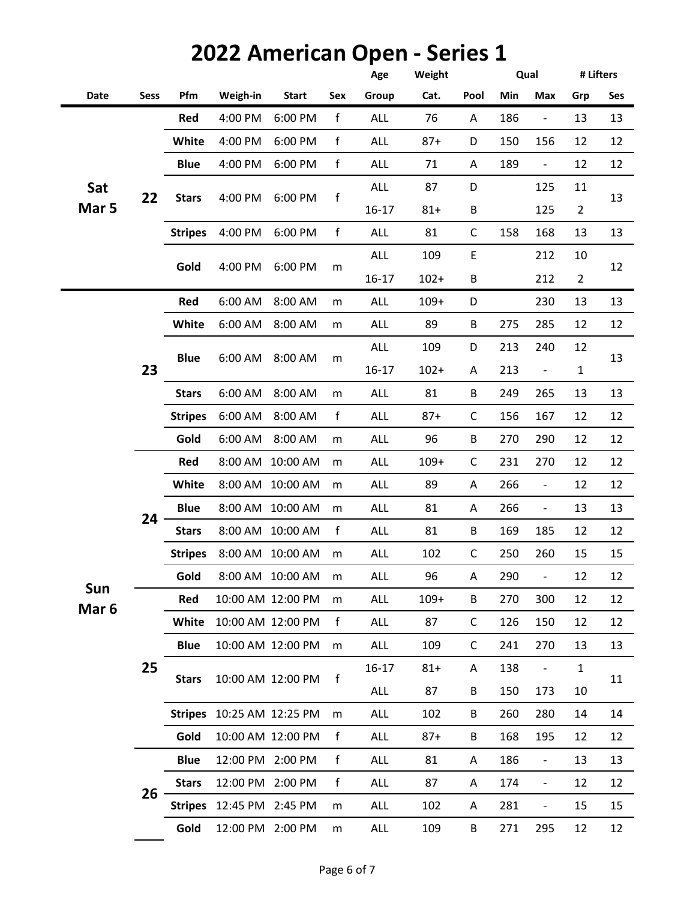|                  |             |                |                           |                   |              | Age        | Weight  |              |     | Qual                         | # Lifters      |     |
|------------------|-------------|----------------|---------------------------|-------------------|--------------|------------|---------|--------------|-----|------------------------------|----------------|-----|
| Date             | <b>Sess</b> | Pfm            | Weigh-in                  | <b>Start</b>      | Sex          | Group      | Cat.    | Pool         | Min | Max                          | Grp            | Ses |
|                  |             | Red            | 4:00 PM                   | 6:00 PM           | $\mathsf f$  | <b>ALL</b> | 76      | Α            | 186 | $\blacksquare$               | 13             | 13  |
|                  |             | <b>White</b>   | 4:00 PM                   | 6:00 PM           | f            | <b>ALL</b> | $87+$   | D            | 150 | 156                          | 12             | 12  |
|                  |             | <b>Blue</b>    | 4:00 PM                   | 6:00 PM           | $\mathsf f$  | <b>ALL</b> | 71      | A            | 189 | $\blacksquare$               | 12             | 12  |
| Sat              | 22          | <b>Stars</b>   | 4:00 PM                   | 6:00 PM           | f            | <b>ALL</b> | 87      | D            |     | 125                          | 11             | 13  |
| Mar 5            |             |                |                           |                   |              | $16 - 17$  | $81 +$  | B            |     | 125                          | $\overline{2}$ |     |
|                  |             | <b>Stripes</b> | 4:00 PM                   | 6:00 PM           | f            | ALL        | 81      | $\mathsf{C}$ | 158 | 168                          | 13             | 13  |
|                  |             | Gold           | 4:00 PM                   | 6:00 PM           |              | <b>ALL</b> | 109     | E            |     | 212                          | 10             | 12  |
|                  |             |                |                           |                   | m            | $16 - 17$  | $102 +$ | В            |     | 212                          | $\overline{2}$ |     |
|                  |             | Red            | 6:00 AM                   | 8:00 AM           | m            | <b>ALL</b> | $109+$  | D            |     | 230                          | 13             | 13  |
|                  |             | White          | 6:00 AM                   | 8:00 AM           | m            | <b>ALL</b> | 89      | B            | 275 | 285                          | 12             | 12  |
|                  |             | <b>Blue</b>    |                           | 8:00 AM           |              | <b>ALL</b> | 109     | D            | 213 | 240                          | 12             | 13  |
|                  | 23          |                | 6:00 AM                   |                   | m            | $16 - 17$  | $102 +$ | Α            | 213 | $\blacksquare$               | $\mathbf{1}$   |     |
|                  |             | <b>Stars</b>   | 6:00 AM                   | 8:00 AM           | m            | <b>ALL</b> | 81      | B            | 249 | 265                          | 13             | 13  |
|                  |             | <b>Stripes</b> | 6:00 AM                   | 8:00 AM           | f            | <b>ALL</b> | $87 +$  | $\mathsf C$  | 156 | 167                          | 12             | 12  |
|                  |             | Gold           | 6:00 AM                   | 8:00 AM           | m            | <b>ALL</b> | 96      | B            | 270 | 290                          | 12             | 12  |
|                  |             | Red            |                           | 8:00 AM 10:00 AM  | m            | <b>ALL</b> | $109+$  | $\mathsf C$  | 231 | 270                          | 12             | 12  |
|                  |             | White          |                           | 8:00 AM 10:00 AM  | m            | <b>ALL</b> | 89      | A            | 266 | $\qquad \qquad \blacksquare$ | 12             | 12  |
|                  |             | <b>Blue</b>    |                           | 8:00 AM 10:00 AM  | m            | ALL        | 81      | Α            | 266 | $\qquad \qquad -$            | 13             | 13  |
|                  | 24          | <b>Stars</b>   |                           | 8:00 AM 10:00 AM  | $\mathsf{f}$ | <b>ALL</b> | 81      | B            | 169 | 185                          | 12             | 12  |
|                  |             | <b>Stripes</b> |                           | 8:00 AM 10:00 AM  | m            | <b>ALL</b> | 102     | $\mathsf C$  | 250 | 260                          | 15             | 15  |
|                  |             | Gold           |                           | 8:00 AM 10:00 AM  | m            | ALL        | 96      | Α            | 290 | $\overline{\phantom{0}}$     | 12             | 12  |
| Sun              |             | Red            |                           | 10:00 AM 12:00 PM | ${\sf m}$    | <b>ALL</b> | $109+$  | B            | 270 | 300                          | 12             | 12  |
| Mar <sub>6</sub> |             | White          |                           | 10:00 AM 12:00 PM | f            | <b>ALL</b> | 87      | C            | 126 | 150                          | 12             | 12  |
|                  |             | <b>Blue</b>    |                           | 10:00 AM 12:00 PM | m            | <b>ALL</b> | 109     | C            | 241 | 270                          | 13             | 13  |
|                  | 25          |                |                           |                   |              | $16 - 17$  | $81 +$  | Α            | 138 | $\qquad \qquad \blacksquare$ | $\mathbf{1}$   |     |
|                  |             | <b>Stars</b>   |                           | 10:00 AM 12:00 PM | f            | <b>ALL</b> | 87      | B            | 150 | 173                          | 10             | 11  |
|                  |             |                | Stripes 10:25 AM 12:25 PM |                   | m            | <b>ALL</b> | 102     | B            | 260 | 280                          | 14             | 14  |
|                  |             | Gold           |                           | 10:00 AM 12:00 PM | $\mathsf{f}$ | <b>ALL</b> | $87 +$  | B            | 168 | 195                          | 12             | 12  |
|                  |             | <b>Blue</b>    | 12:00 PM 2:00 PM          |                   | f            | <b>ALL</b> | 81      | Α            | 186 | $\qquad \qquad -$            | 13             | 13  |
|                  |             | <b>Stars</b>   | 12:00 PM 2:00 PM          |                   | f            | <b>ALL</b> | 87      | Α            | 174 | $\overline{\phantom{a}}$     | 12             | 12  |
|                  | 26          |                | Stripes 12:45 PM 2:45 PM  |                   | m            | <b>ALL</b> | 102     | Α            | 281 | $\qquad \qquad \blacksquare$ | 15             | 15  |
|                  |             | Gold           | 12:00 PM 2:00 PM          |                   | m            | ALL        | 109     | B            | 271 | 295                          | 12             | 12  |